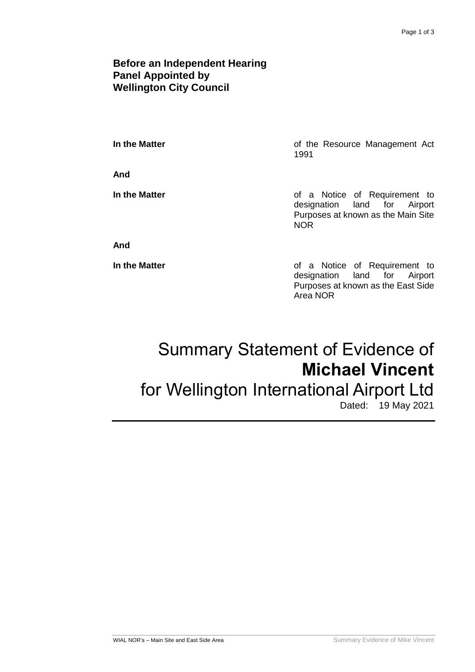### **Before an Independent Hearing Panel Appointed by Wellington City Council**

**And**

**In the Matter In the Matter of the Resource Management Act** 1991

**In the Matter In the Matter of a Notice of Requirement to** designation land for Airport Purposes at known as the Main Site NOR

#### **And**

**In the Matter In the Matter of a Notice of Requirement to** designation land for Airport Purposes at known as the East Side Area NOR

# Summary Statement of Evidence of **Michael Vincent**

## for Wellington International Airport Ltd

Dated: 19 May 2021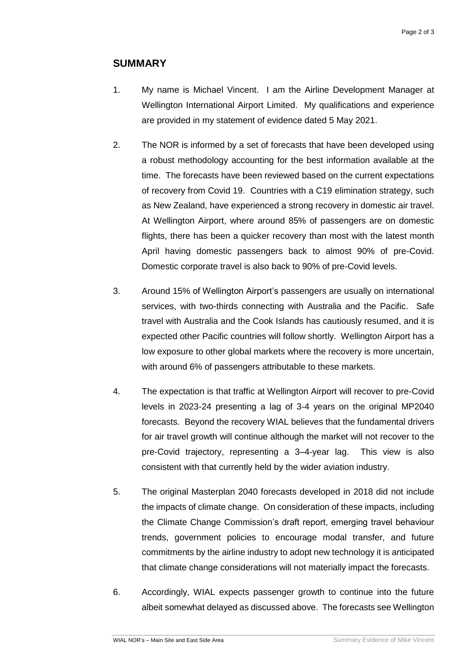### **SUMMARY**

- 1. My name is Michael Vincent. I am the Airline Development Manager at Wellington International Airport Limited. My qualifications and experience are provided in my statement of evidence dated 5 May 2021.
- 2. The NOR is informed by a set of forecasts that have been developed using a robust methodology accounting for the best information available at the time. The forecasts have been reviewed based on the current expectations of recovery from Covid 19. Countries with a C19 elimination strategy, such as New Zealand, have experienced a strong recovery in domestic air travel. At Wellington Airport, where around 85% of passengers are on domestic flights, there has been a quicker recovery than most with the latest month April having domestic passengers back to almost 90% of pre-Covid. Domestic corporate travel is also back to 90% of pre-Covid levels.
- 3. Around 15% of Wellington Airport's passengers are usually on international services, with two-thirds connecting with Australia and the Pacific. Safe travel with Australia and the Cook Islands has cautiously resumed, and it is expected other Pacific countries will follow shortly. Wellington Airport has a low exposure to other global markets where the recovery is more uncertain, with around 6% of passengers attributable to these markets.
- 4. The expectation is that traffic at Wellington Airport will recover to pre-Covid levels in 2023-24 presenting a lag of 3-4 years on the original MP2040 forecasts. Beyond the recovery WIAL believes that the fundamental drivers for air travel growth will continue although the market will not recover to the pre-Covid trajectory, representing a 3–4-year lag. This view is also consistent with that currently held by the wider aviation industry.
- 5. The original Masterplan 2040 forecasts developed in 2018 did not include the impacts of climate change. On consideration of these impacts, including the Climate Change Commission's draft report, emerging travel behaviour trends, government policies to encourage modal transfer, and future commitments by the airline industry to adopt new technology it is anticipated that climate change considerations will not materially impact the forecasts.
- 6. Accordingly, WIAL expects passenger growth to continue into the future albeit somewhat delayed as discussed above. The forecasts see Wellington